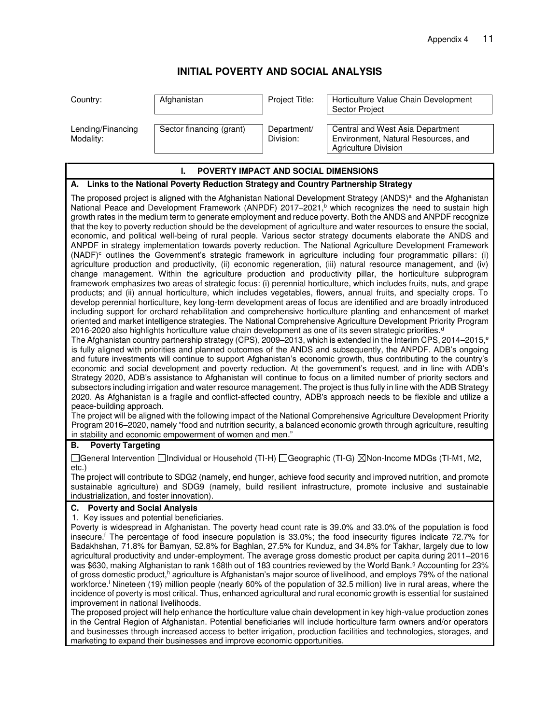# **INITIAL POVERTY AND SOCIAL ANALYSIS**

| Country:                       | Afghanistan              | Project Title:           | Horticulture Value Chain Development<br><b>Sector Project</b>                                   |
|--------------------------------|--------------------------|--------------------------|-------------------------------------------------------------------------------------------------|
| Lending/Financing<br>Modality: | Sector financing (grant) | Department/<br>Division: | Central and West Asia Department<br>Environment, Natural Resources, and<br>Agriculture Division |

## **I. POVERTY IMPACT AND SOCIAL DIMENSIONS A. Links to the National Poverty Reduction Strategy and Country Partnership Strategy**  The proposed project is aligned with the Afghanistan National Development Strategy (ANDS)<sup>a</sup> and the Afghanistan National Peace and Development Framework (ANPDF) 2017–2021,<sup>b</sup> which recognizes the need to sustain high growth rates in the medium term to generate employment and reduce poverty. Both the ANDS and ANPDF recognize that the key to poverty reduction should be the development of agriculture and water resources to ensure the social, economic, and political well-being of rural people. Various sector strategy documents elaborate the ANDS and ANPDF in strategy implementation towards poverty reduction. The National Agriculture Development Framework (NADF)<sup>c</sup> outlines the Government's strategic framework in agriculture including four programmatic pillars: (i)

agriculture production and productivity, (ii) economic regeneration, (iii) natural resource management, and (iv) change management. Within the agriculture production and productivity pillar, the horticulture subprogram framework emphasizes two areas of strategic focus: (i) perennial horticulture, which includes fruits, nuts, and grape products; and (ii) annual horticulture, which includes vegetables, flowers, annual fruits, and specialty crops. To develop perennial horticulture, key long-term development areas of focus are identified and are broadly introduced including support for orchard rehabilitation and comprehensive horticulture planting and enhancement of market oriented and market intelligence strategies. The National Comprehensive Agriculture Development Priority Program 2016-2020 also highlights horticulture value chain development as one of its seven strategic priorities.<sup>d</sup>

The Afghanistan country partnership strategy (CPS), 2009–2013, which is extended in the Interim CPS, 2014–2015,<sup>e</sup> is fully aligned with priorities and planned outcomes of the ANDS and subsequently, the ANPDF. ADB's ongoing and future investments will continue to support Afghanistan's economic growth, thus contributing to the country's economic and social development and poverty reduction. At the government's request, and in line with ADB's Strategy 2020, ADB's assistance to Afghanistan will continue to focus on a limited number of priority sectors and subsectors including irrigation and water resource management. The project is thus fully in line with the ADB Strategy 2020. As Afghanistan is a fragile and conflict-affected country, ADB's approach needs to be flexible and utilize a peace-building approach.

The project will be aligned with the following impact of the National Comprehensive Agriculture Development Priority Program 2016–2020, namely "food and nutrition security, a balanced economic growth through agriculture, resulting in stability and economic empowerment of women and men."

#### **B. Poverty Targeting**

□General Intervention □Individual or Household (TI-H) □Geographic (TI-G) ⊠Non-Income MDGs (TI-M1, M2, etc.)

The project will contribute to SDG2 (namely, end hunger, achieve food security and improved nutrition, and promote sustainable agriculture) and SDG9 (namely, build resilient infrastructure, promote inclusive and sustainable industrialization, and foster innovation).

### **C. Poverty and Social Analysis**

#### 1. Key issues and potential beneficiaries.

Poverty is widespread in Afghanistan. The poverty head count rate is 39.0% and 33.0% of the population is food insecure.<sup>f</sup> The percentage of food insecure population is 33.0%; the food insecurity figures indicate 72.7% for Badakhshan, 71.8% for Bamyan, 52.8% for Baghlan, 27.5% for Kunduz, and 34.8% for Takhar, largely due to low agricultural productivity and under-employment. The average gross domestic product per capita during 2011–2016 was \$630, making Afghanistan to rank 168th out of 183 countries reviewed by the World Bank.<sup>g</sup> Accounting for 23% of gross domestic product,<sup>h</sup> agriculture is Afghanistan's major source of livelihood, and employs 79% of the national workforce.<sup>i</sup> Nineteen (19) million people (nearly 60% of the population of 32.5 million) live in rural areas, where the incidence of poverty is most critical. Thus, enhanced agricultural and rural economic growth is essential for sustained improvement in national livelihoods.

The proposed project will help enhance the horticulture value chain development in key high-value production zones in the Central Region of Afghanistan. Potential beneficiaries will include horticulture farm owners and/or operators and businesses through increased access to better irrigation, production facilities and technologies, storages, and marketing to expand their businesses and improve economic opportunities.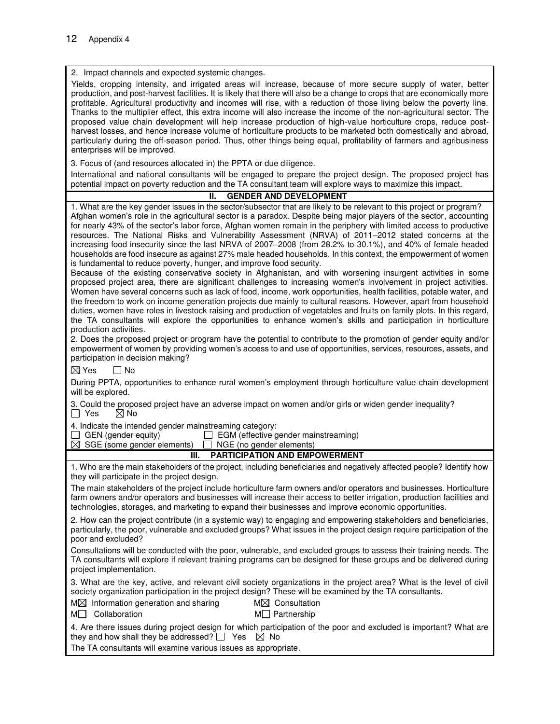2. Impact channels and expected systemic changes. Yields, cropping intensity, and irrigated areas will increase, because of more secure supply of water, better production, and post-harvest facilities. It is likely that there will also be a change to crops that are economically more profitable. Agricultural productivity and incomes will rise, with a reduction of those living below the poverty line. Thanks to the multiplier effect, this extra income will also increase the income of the non-agricultural sector. The proposed value chain development will help increase production of high-value horticulture crops, reduce postharvest losses, and hence increase volume of horticulture products to be marketed both domestically and abroad, particularly during the off-season period. Thus, other things being equal, profitability of farmers and agribusiness enterprises will be improved. 3. Focus of (and resources allocated in) the PPTA or due diligence. International and national consultants will be engaged to prepare the project design. The proposed project has potential impact on poverty reduction and the TA consultant team will explore ways to maximize this impact. **II. GENDER AND DEVELOPMENT** 1. What are the key gender issues in the sector/subsector that are likely to be relevant to this project or program? Afghan women's role in the agricultural sector is a paradox. Despite being major players of the sector, accounting for nearly 43% of the sector's labor force, Afghan women remain in the periphery with limited access to productive resources. The National Risks and Vulnerability Assessment (NRVA) of 2011–2012 stated concerns at the

increasing food insecurity since the last NRVA of 2007–2008 (from 28.2% to 30.1%), and 40% of female headed households are food insecure as against 27% male headed households. In this context, the empowerment of women is fundamental to reduce poverty, hunger, and improve food security. Because of the existing conservative society in Afghanistan, and with worsening insurgent activities in some proposed project area, there are significant challenges to increasing women's involvement in project activities. Women have several concerns such as lack of food, income, work opportunities, health facilities, potable water, and the freedom to work on income generation projects due mainly to cultural reasons. However, apart from household duties, women have roles in livestock raising and production of vegetables and fruits on family plots. In this regard, the TA consultants will explore the opportunities to enhance women's skills and participation in horticulture production activities. 2. Does the proposed project or program have the potential to contribute to the promotion of gender equity and/or empowerment of women by providing women's access to and use of opportunities, services, resources, assets, and participation in decision making?  $\boxtimes$  Yes  $\Box$  No During PPTA, opportunities to enhance rural women's employment through horticulture value chain development will be explored. 3. Could the proposed project have an adverse impact on women and/or girls or widen gender inequality?<br>  $\Box$  Yes  $\Box$  No  $\boxtimes$  No 4. Indicate the intended gender mainstreaming category: GEN (gender equity)  $\Box$  EGM (effective gender mainstreaming)  $\boxtimes$  SGE (some gender elements)  $\Box$  NGE (no gender elements)  $\Box$  NGE (no gender elements) **III. PARTICIPATION AND EMPOWERMENT** 1. Who are the main stakeholders of the project, including beneficiaries and negatively affected people? Identify how they will participate in the project design. The main stakeholders of the project include horticulture farm owners and/or operators and businesses. Horticulture farm owners and/or operators and businesses will increase their access to better irrigation, production facilities and technologies, storages, and marketing to expand their businesses and improve economic opportunities. 2. How can the project contribute (in a systemic way) to engaging and empowering stakeholders and beneficiaries, particularly, the poor, vulnerable and excluded groups? What issues in the project design require participation of the poor and excluded? Consultations will be conducted with the poor, vulnerable, and excluded groups to assess their training needs. The TA consultants will explore if relevant training programs can be designed for these groups and be delivered during

3. What are the key, active, and relevant civil society organizations in the project area? What is the level of civil society organization participation in the project design? These will be examined by the TA consultants.

| $M\boxtimes$ Information generation and sharing | $M\boxtimes$ Consultation |
|-------------------------------------------------|---------------------------|
| M Collaboration                                 | $M\Box$ Partnership       |

project implementation.

| 4. Are there issues during project design for which participation of the poor and excluded is important? What are |  |
|-------------------------------------------------------------------------------------------------------------------|--|
| they and how shall they be addressed? $\Box$ Yes $\boxtimes$ No                                                   |  |

The TA consultants will examine various issues as appropriate.